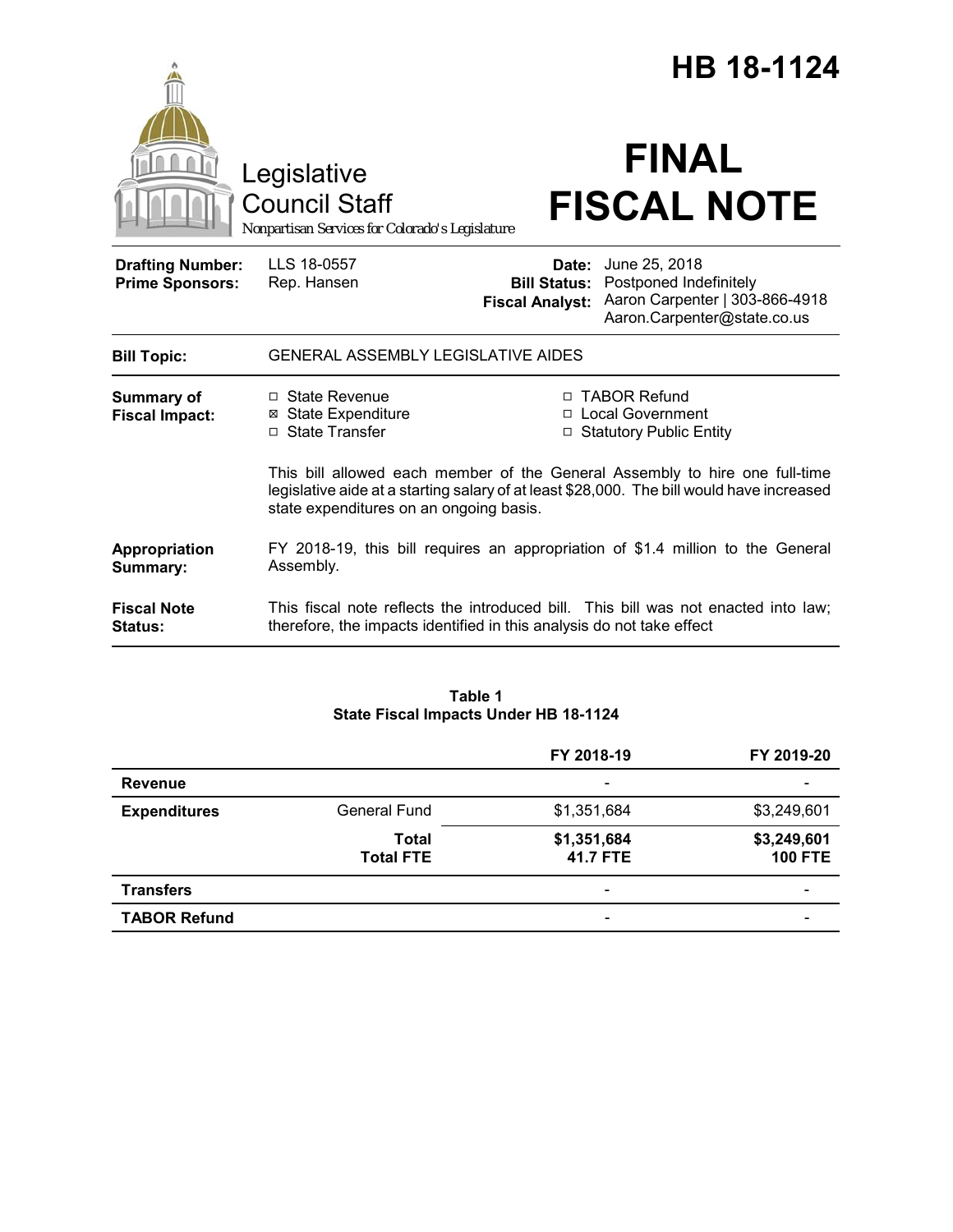|                                                   |                                                                                                                                                                                                                     |                        | HB 18-1124                                                                                                                                |
|---------------------------------------------------|---------------------------------------------------------------------------------------------------------------------------------------------------------------------------------------------------------------------|------------------------|-------------------------------------------------------------------------------------------------------------------------------------------|
|                                                   | Legislative<br><b>Council Staff</b><br>Nonpartisan Services for Colorado's Legislature                                                                                                                              |                        | <b>FINAL</b><br><b>FISCAL NOTE</b>                                                                                                        |
| <b>Drafting Number:</b><br><b>Prime Sponsors:</b> | LLS 18-0557<br>Rep. Hansen                                                                                                                                                                                          | <b>Fiscal Analyst:</b> | <b>Date:</b> June 25, 2018<br><b>Bill Status: Postponed Indefinitely</b><br>Aaron Carpenter   303-866-4918<br>Aaron.Carpenter@state.co.us |
| <b>Bill Topic:</b>                                | <b>GENERAL ASSEMBLY LEGISLATIVE AIDES</b>                                                                                                                                                                           |                        |                                                                                                                                           |
| <b>Summary of</b><br><b>Fiscal Impact:</b>        | $\Box$ State Revenue<br><b>⊠ State Expenditure</b><br>□ State Transfer                                                                                                                                              | $\Box$                 | □ TABOR Refund<br>□ Local Government<br><b>Statutory Public Entity</b>                                                                    |
|                                                   | This bill allowed each member of the General Assembly to hire one full-time<br>legislative aide at a starting salary of at least \$28,000. The bill would have increased<br>state expenditures on an ongoing basis. |                        |                                                                                                                                           |
| Appropriation<br>Summary:                         | FY 2018-19, this bill requires an appropriation of \$1.4 million to the General<br>Assembly.                                                                                                                        |                        |                                                                                                                                           |
| <b>Fiscal Note</b><br><b>Status:</b>              | This fiscal note reflects the introduced bill. This bill was not enacted into law;<br>therefore, the impacts identified in this analysis do not take effect                                                         |                        |                                                                                                                                           |

## **Table 1 State Fiscal Impacts Under HB 18-1124**

|                     |                           | FY 2018-19                   | FY 2019-20                    |
|---------------------|---------------------------|------------------------------|-------------------------------|
| <b>Revenue</b>      |                           | $\overline{\phantom{a}}$     |                               |
| <b>Expenditures</b> | <b>General Fund</b>       | \$1,351,684                  | \$3,249,601                   |
|                     | Total<br><b>Total FTE</b> | \$1,351,684<br>41.7 FTE      | \$3,249,601<br><b>100 FTE</b> |
| <b>Transfers</b>    |                           | $\qquad \qquad \blacksquare$ | $\overline{\phantom{0}}$      |
| <b>TABOR Refund</b> |                           | $\overline{\phantom{a}}$     |                               |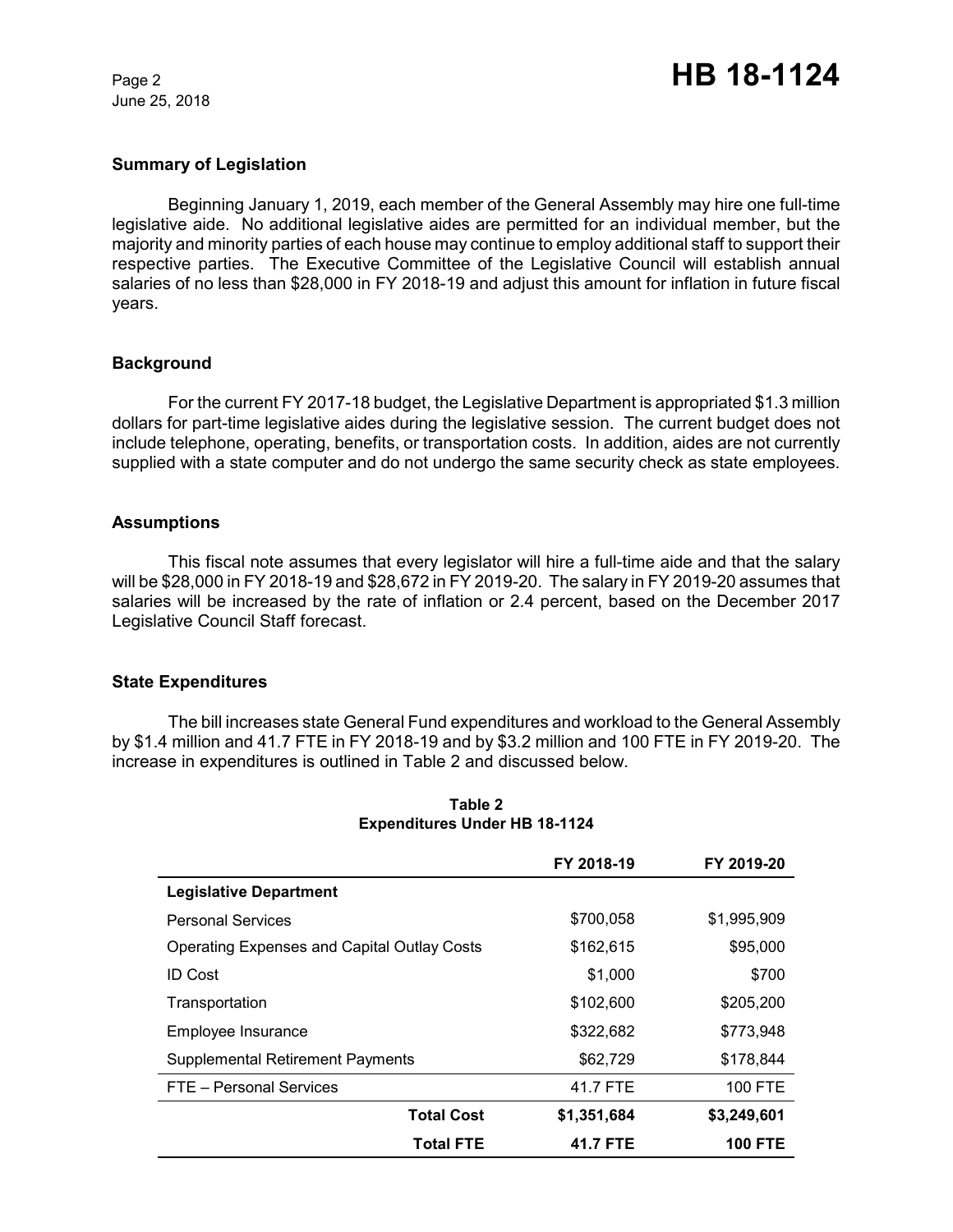June 25, 2018

# **Summary of Legislation**

Beginning January 1, 2019, each member of the General Assembly may hire one full-time legislative aide. No additional legislative aides are permitted for an individual member, but the majority and minority parties of each house may continue to employ additional staff to support their respective parties. The Executive Committee of the Legislative Council will establish annual salaries of no less than \$28,000 in FY 2018-19 and adjust this amount for inflation in future fiscal years.

# **Background**

For the current FY 2017-18 budget, the Legislative Department is appropriated \$1.3 million dollars for part-time legislative aides during the legislative session. The current budget does not include telephone, operating, benefits, or transportation costs. In addition, aides are not currently supplied with a state computer and do not undergo the same security check as state employees.

## **Assumptions**

This fiscal note assumes that every legislator will hire a full-time aide and that the salary will be \$28,000 in FY 2018-19 and \$28,672 in FY 2019-20. The salary in FY 2019-20 assumes that salaries will be increased by the rate of inflation or 2.4 percent, based on the December 2017 Legislative Council Staff forecast.

## **State Expenditures**

The bill increases state General Fund expenditures and workload to the General Assembly by \$1.4 million and 41.7 FTE in FY 2018-19 and by \$3.2 million and 100 FTE in FY 2019-20. The increase in expenditures is outlined in Table 2 and discussed below.

|                                                    | FY 2018-19  | FY 2019-20     |
|----------------------------------------------------|-------------|----------------|
| <b>Legislative Department</b>                      |             |                |
| <b>Personal Services</b>                           | \$700,058   | \$1,995,909    |
| <b>Operating Expenses and Capital Outlay Costs</b> | \$162,615   | \$95,000       |
| <b>ID Cost</b>                                     | \$1,000     | \$700          |
| Transportation                                     | \$102,600   | \$205,200      |
| Employee Insurance                                 | \$322,682   | \$773.948      |
| <b>Supplemental Retirement Payments</b>            | \$62,729    | \$178,844      |
| FTE - Personal Services                            | 41.7 FTE    | <b>100 FTE</b> |
| <b>Total Cost</b>                                  | \$1,351,684 | \$3,249,601    |
| <b>Total FTE</b>                                   | 41.7 FTE    | <b>100 FTE</b> |

## **Table 2 Expenditures Under HB 18-1124**